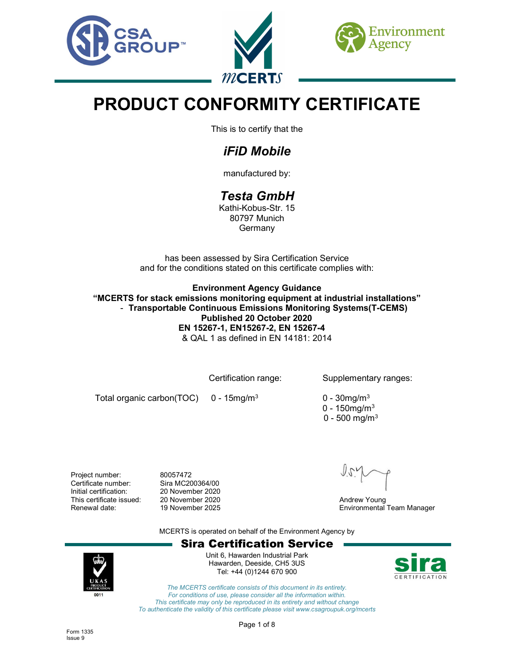





# PRODUCT CONFORMITY CERTIFICATE

This is to certify that the

# iFiD Mobile

manufactured by:

# Testa GmbH

Kathi-Kobus-Str. 15 80797 Munich Germany

has been assessed by Sira Certification Service and for the conditions stated on this certificate complies with:

Environment Agency Guidance "MCERTS for stack emissions monitoring equipment at industrial installations" - Transportable Continuous Emissions Monitoring Systems(T-CEMS) Published 20 October 2020 EN 15267-1, EN15267-2, EN 15267-4 & QAL 1 as defined in EN 14181: 2014

Certification range: Supplementary ranges:

Total organic carbon(TOC) 0 - 15mg/m<sup>3</sup>

 $0 - 30$ mg/m $3$ 

- $0 150$ ma/m $3$
- $\sim 0$  500 mg/m $^3$

Project number: 80057472 Certificate number: Sira MC200364/00 Initial certification: 20 November 2020 This certificate issued: 20 November 2020<br>
Renewal date: 19 November 2025<br>
Andrew Young Environmental

Environmental Team Manager

MCERTS is operated on behalf of the Environment Agency by





Unit 6, Hawarden Industrial Park Hawarden, Deeside, CH5 3US Tel: +44 (0)1244 670 900



The MCERTS certificate consists of this document in its entirety. For conditions of use, please consider all the information within. This certificate may only be reproduced in its entirety and without change To authenticate the validity of this certificate please visit www.csagroupuk.org/mcerts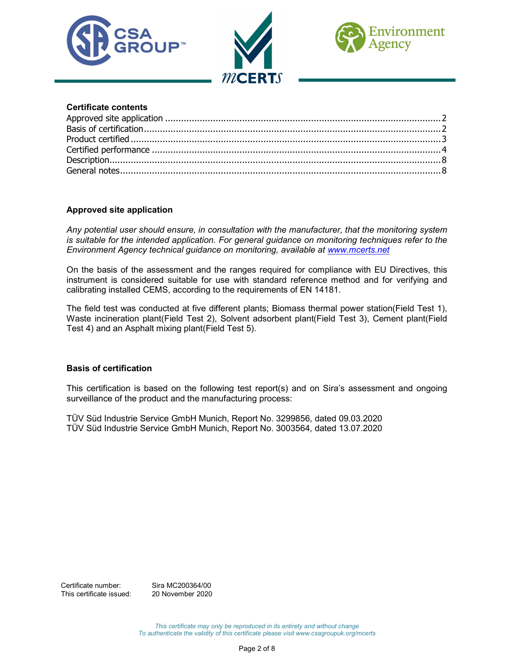





#### Certificate contents

### Approved site application

Any potential user should ensure, in consultation with the manufacturer, that the monitoring system is suitable for the intended application. For general guidance on monitoring techniques refer to the Environment Agency technical guidance on monitoring, available at www.mcerts.net

On the basis of the assessment and the ranges required for compliance with EU Directives, this instrument is considered suitable for use with standard reference method and for verifying and calibrating installed CEMS, according to the requirements of EN 14181.

The field test was conducted at five different plants; Biomass thermal power station(Field Test 1), Waste incineration plant(Field Test 2), Solvent adsorbent plant(Field Test 3), Cement plant(Field Test 4) and an Asphalt mixing plant(Field Test 5).

### Basis of certification

This certification is based on the following test report(s) and on Sira's assessment and ongoing surveillance of the product and the manufacturing process:

TÜV Süd Industrie Service GmbH Munich, Report No. 3299856, dated 09.03.2020 TÜV Süd Industrie Service GmbH Munich, Report No. 3003564, dated 13.07.2020

Certificate number: Sira MC200364/00 This certificate issued: 20 November 2020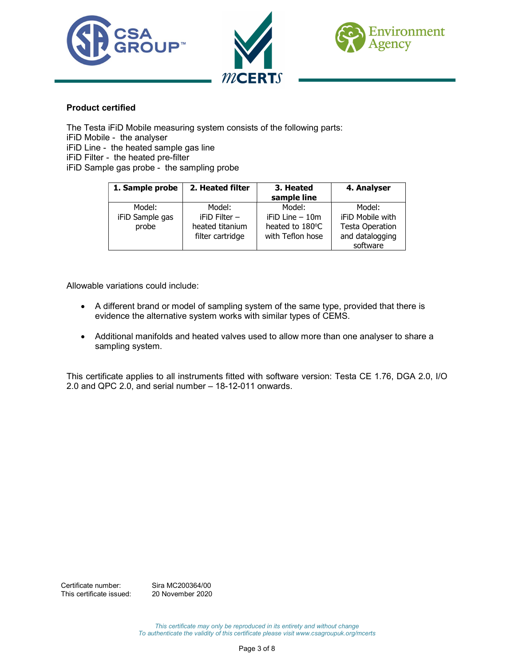





## Product certified

The Testa iFiD Mobile measuring system consists of the following parts: iFiD Mobile - the analyser iFiD Line - the heated sample gas line iFiD Filter - the heated pre-filter iFiD Sample gas probe - the sampling probe

| 1. Sample probe | 2. Heated filter | 3. Heated<br>sample line | 4. Analyser             |
|-----------------|------------------|--------------------------|-------------------------|
| Model:          | Model:           | Model:                   | Model:                  |
| iFiD Sample gas | $i$ FiD Filter – | iFiD Line - 10m          | <b>iFiD Mobile with</b> |
| probe           | heated titanium  | heated to 180°C          | <b>Testa Operation</b>  |
|                 | filter cartridge | with Teflon hose         | and datalogging         |
|                 |                  |                          | software                |

Allowable variations could include:

- A different brand or model of sampling system of the same type, provided that there is evidence the alternative system works with similar types of CEMS.
- Additional manifolds and heated valves used to allow more than one analyser to share a sampling system.

This certificate applies to all instruments fitted with software version: Testa CE 1.76, DGA 2.0, I/O 2.0 and QPC 2.0, and serial number – 18-12-011 onwards.

Certificate number: Sira MC200364/00 This certificate issued: 20 November 2020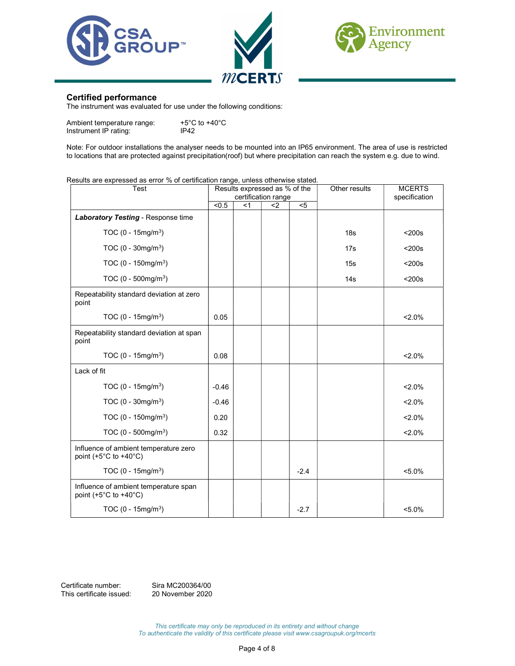





#### Certified performance

The instrument was evaluated for use under the following conditions:

| Ambient temperature range: | +5°C to +40°C |
|----------------------------|---------------|
| Instrument IP rating:      | IP42          |

Note: For outdoor installations the analyser needs to be mounted into an IP65 environment. The area of use is restricted to locations that are protected against precipitation(roof) but where precipitation can reach the system e.g. due to wind.

#### Results are expressed as error % of certification range, unless otherwise stated.

| Test                                                                               | Results expressed as % of the<br>certification range |       |     |        | Other results   | <b>MCERTS</b><br>specification |
|------------------------------------------------------------------------------------|------------------------------------------------------|-------|-----|--------|-----------------|--------------------------------|
|                                                                                    | < 0.5                                                | $<$ 1 | $2$ | $5$    |                 |                                |
| Laboratory Testing - Response time                                                 |                                                      |       |     |        |                 |                                |
| TOC $(0 - 15mg/m^3)$                                                               |                                                      |       |     |        | 18 <sub>s</sub> | $200s$                         |
| TOC $(0 - 30mg/m^3)$                                                               |                                                      |       |     |        | 17s             | $200s$                         |
| TOC $(0 - 150 \text{mg/m}^3)$                                                      |                                                      |       |     |        | 15s             | $200s$                         |
| TOC $(0 - 500 \text{mg/m}^3)$                                                      |                                                      |       |     |        | 14s             | $200s$                         |
| Repeatability standard deviation at zero<br>point                                  |                                                      |       |     |        |                 |                                |
| TOC $(0 - 15mg/m^3)$                                                               | 0.05                                                 |       |     |        |                 | $2.0\%$                        |
| Repeatability standard deviation at span<br>point                                  |                                                      |       |     |        |                 |                                |
| TOC $(0 - 15mg/m^3)$                                                               | 0.08                                                 |       |     |        |                 | $2.0\%$                        |
| Lack of fit                                                                        |                                                      |       |     |        |                 |                                |
| TOC $(0 - 15mg/m^3)$                                                               | $-0.46$                                              |       |     |        |                 | $2.0\%$                        |
| TOC $(0 - 30$ mg/m <sup>3</sup> )                                                  | $-0.46$                                              |       |     |        |                 | $2.0\%$                        |
| TOC $(0 - 150 \text{mg/m}^3)$                                                      | 0.20                                                 |       |     |        |                 | $2.0\%$                        |
| TOC $(0 - 500 \text{mg/m}^3)$                                                      | 0.32                                                 |       |     |        |                 | $2.0\%$                        |
| Influence of ambient temperature zero<br>point $(+5^{\circ}$ C to $+40^{\circ}$ C) |                                                      |       |     |        |                 |                                |
| TOC $(0 - 15mg/m^3)$                                                               |                                                      |       |     | $-2.4$ |                 | $< 5.0\%$                      |
| Influence of ambient temperature span<br>point $(+5^{\circ}$ C to $+40^{\circ}$ C) |                                                      |       |     |        |                 |                                |
| TOC $(0 - 15mg/m^3)$                                                               |                                                      |       |     | $-2.7$ |                 | $< 5.0\%$                      |

Certificate number: Sira MC200364/00 This certificate issued: 20 November 2020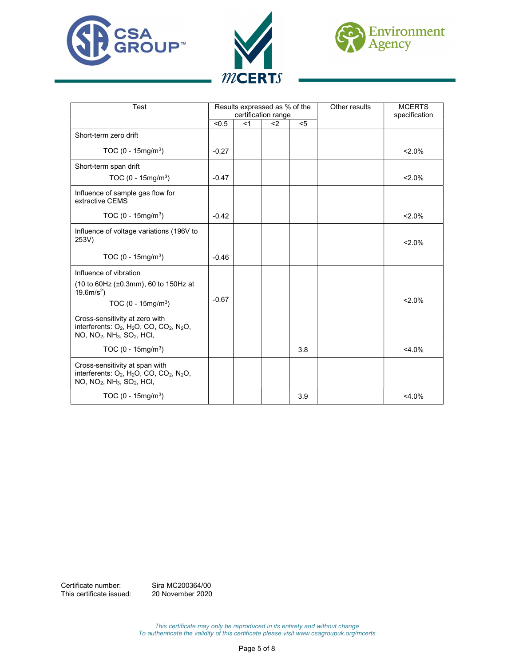





| Test                                                                                                                                                                                | Results expressed as % of the |       |     |       | Other results | <b>MCERTS</b> |
|-------------------------------------------------------------------------------------------------------------------------------------------------------------------------------------|-------------------------------|-------|-----|-------|---------------|---------------|
|                                                                                                                                                                                     | certification range           |       |     |       |               | specification |
|                                                                                                                                                                                     | < 0.5                         | $<$ 1 | $2$ | $<$ 5 |               |               |
| Short-term zero drift                                                                                                                                                               |                               |       |     |       |               |               |
| TOC $(0 - 15mg/m^3)$                                                                                                                                                                | $-0.27$                       |       |     |       |               | $2.0\%$       |
| Short-term span drift                                                                                                                                                               |                               |       |     |       |               |               |
| TOC $(0 - 15mg/m3)$                                                                                                                                                                 | $-0.47$                       |       |     |       |               | $2.0\%$       |
| Influence of sample gas flow for<br>extractive CEMS                                                                                                                                 |                               |       |     |       |               |               |
| TOC $(0 - 15mg/m^3)$                                                                                                                                                                | $-0.42$                       |       |     |       |               | $2.0\%$       |
| Influence of voltage variations (196V to<br>253V)                                                                                                                                   |                               |       |     |       |               | $2.0\%$       |
| TOC $(0 - 15mg/m3)$                                                                                                                                                                 | $-0.46$                       |       |     |       |               |               |
| Influence of vibration                                                                                                                                                              |                               |       |     |       |               |               |
| $(10 \text{ to } 60 \text{ Hz } (\pm 0.3 \text{ mm})$ , 60 to 150Hz at<br>$19.6m/s2$ )                                                                                              |                               |       |     |       |               |               |
| TOC $(0 - 15mg/m^3)$                                                                                                                                                                | $-0.67$                       |       |     |       |               | $2.0\%$       |
| Cross-sensitivity at zero with<br>interferents: O <sub>2</sub> , H <sub>2</sub> O, CO, CO <sub>2</sub> , N <sub>2</sub> O,<br>$NO, NO2, NH3, SO2, HCl,$                             |                               |       |     |       |               |               |
| TOC $(0 - 15mg/m^3)$                                                                                                                                                                |                               |       |     | 3.8   |               | $<$ 4.0%      |
| Cross-sensitivity at span with<br>interferents: $O_2$ , H <sub>2</sub> O, CO, CO <sub>2</sub> , N <sub>2</sub> O,<br>NO, NO <sub>2</sub> , NH <sub>3</sub> , SO <sub>2</sub> , HCI, |                               |       |     |       |               |               |
| TOC (0 - 15mg/m <sup>3</sup> )                                                                                                                                                      |                               |       |     | 3.9   |               | $<$ 4.0%      |

Certificate number: Sira MC200364/00<br>This certificate issued: 20 November 2020 This certificate issued: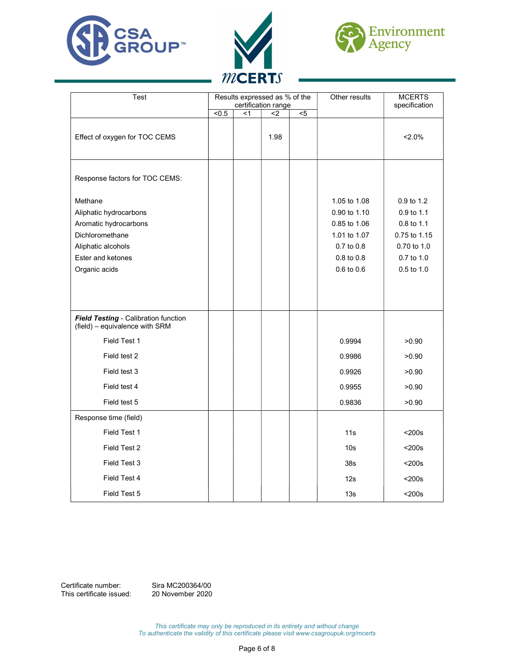





| Test                                                                                                                                      | Results expressed as % of the<br>certification range |       |      |                | Other results                                                                                              | <b>MCERTS</b><br>specification                                                                    |
|-------------------------------------------------------------------------------------------------------------------------------------------|------------------------------------------------------|-------|------|----------------|------------------------------------------------------------------------------------------------------------|---------------------------------------------------------------------------------------------------|
|                                                                                                                                           | $\overline{5}$                                       | $<$ 1 | $2$  | $\overline{5}$ |                                                                                                            |                                                                                                   |
| Effect of oxygen for TOC CEMS                                                                                                             |                                                      |       | 1.98 |                |                                                                                                            | $2.0\%$                                                                                           |
| Response factors for TOC CEMS:                                                                                                            |                                                      |       |      |                |                                                                                                            |                                                                                                   |
| Methane<br>Aliphatic hydrocarbons<br>Aromatic hydrocarbons<br>Dichloromethane<br>Aliphatic alcohols<br>Ester and ketones<br>Organic acids |                                                      |       |      |                | 1.05 to 1.08<br>0.90 to 1.10<br>0.85 to 1.06<br>1.01 to 1.07<br>0.7 to 0.8<br>0.8 to 0.8<br>$0.6$ to $0.6$ | 0.9 to 1.2<br>0.9 to 1.1<br>0.8 to 1.1<br>0.75 to 1.15<br>0.70 to 1.0<br>0.7 to 1.0<br>0.5 to 1.0 |
| Field Testing - Calibration function<br>(field) - equivalence with SRM                                                                    |                                                      |       |      |                |                                                                                                            |                                                                                                   |
| Field Test 1                                                                                                                              |                                                      |       |      |                | 0.9994                                                                                                     | >0.90                                                                                             |
| Field test 2                                                                                                                              |                                                      |       |      |                | 0.9986                                                                                                     | >0.90                                                                                             |
| Field test 3                                                                                                                              |                                                      |       |      |                | 0.9926                                                                                                     | >0.90                                                                                             |
| Field test 4                                                                                                                              |                                                      |       |      |                | 0.9955                                                                                                     | >0.90                                                                                             |
| Field test 5                                                                                                                              |                                                      |       |      |                | 0.9836                                                                                                     | >0.90                                                                                             |
| Response time (field)                                                                                                                     |                                                      |       |      |                |                                                                                                            |                                                                                                   |
| Field Test 1                                                                                                                              |                                                      |       |      |                | 11s                                                                                                        | $200s$                                                                                            |
| Field Test 2                                                                                                                              |                                                      |       |      |                | 10 <sub>s</sub>                                                                                            | $200s$                                                                                            |
| Field Test 3                                                                                                                              |                                                      |       |      |                | 38s                                                                                                        | $200s$                                                                                            |
| Field Test 4                                                                                                                              |                                                      |       |      |                | 12s                                                                                                        | $200s$                                                                                            |
| Field Test 5                                                                                                                              |                                                      |       |      |                | 13s                                                                                                        | $200s$                                                                                            |

Certificate number: Sira MC200364/00<br>This certificate issued: 20 November 2020 This certificate issued: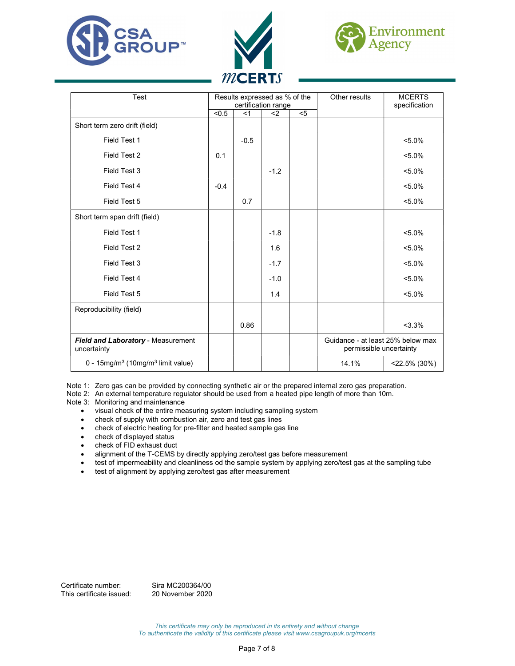





| Test                                                      | Results expressed as % of the<br>certification range |        |        |     | Other results                                                | <b>MCERTS</b><br>specification |
|-----------------------------------------------------------|------------------------------------------------------|--------|--------|-----|--------------------------------------------------------------|--------------------------------|
|                                                           | < 0.5                                                | <1     | $2$    | $5$ |                                                              |                                |
| Short term zero drift (field)                             |                                                      |        |        |     |                                                              |                                |
| Field Test 1                                              |                                                      | $-0.5$ |        |     |                                                              | $< 5.0\%$                      |
| Field Test 2                                              | 0.1                                                  |        |        |     |                                                              | $< 5.0\%$                      |
| Field Test 3                                              |                                                      |        | $-1.2$ |     |                                                              | $< 5.0\%$                      |
| Field Test 4                                              | $-0.4$                                               |        |        |     |                                                              | $< 5.0\%$                      |
| Field Test 5                                              |                                                      | 0.7    |        |     |                                                              | $< 5.0\%$                      |
| Short term span drift (field)                             |                                                      |        |        |     |                                                              |                                |
| Field Test 1                                              |                                                      |        | $-1.8$ |     |                                                              | $< 5.0\%$                      |
| Field Test 2                                              |                                                      |        | 1.6    |     |                                                              | $< 5.0\%$                      |
| Field Test 3                                              |                                                      |        | $-1.7$ |     |                                                              | $< 5.0\%$                      |
| Field Test 4                                              |                                                      |        | $-1.0$ |     |                                                              | $< 5.0\%$                      |
| Field Test 5                                              |                                                      |        | 1.4    |     |                                                              | $5.0\%$                        |
| Reproducibility (field)                                   |                                                      |        |        |     |                                                              |                                |
|                                                           |                                                      | 0.86   |        |     |                                                              | $< 3.3\%$                      |
| Field and Laboratory - Measurement<br>uncertainty         |                                                      |        |        |     | Guidance - at least 25% below max<br>permissible uncertainty |                                |
| 0 - 15mg/m <sup>3</sup> (10mg/m <sup>3</sup> limit value) |                                                      |        |        |     | 14.1%                                                        | $<$ 22.5% (30%)                |

Note 1: Zero gas can be provided by connecting synthetic air or the prepared internal zero gas preparation.

Note 2: An external temperature regulator should be used from a heated pipe length of more than 10m.

Note 3: Monitoring and maintenance

- visual check of the entire measuring system including sampling system
- check of supply with combustion air, zero and test gas lines
- check of electric heating for pre-filter and heated sample gas line
- check of displayed status
- check of FID exhaust duct
- alignment of the T-CEMS by directly applying zero/test gas before measurement
- test of impermeability and cleanliness od the sample system by applying zero/test gas at the sampling tube
- test of alignment by applying zero/test gas after measurement